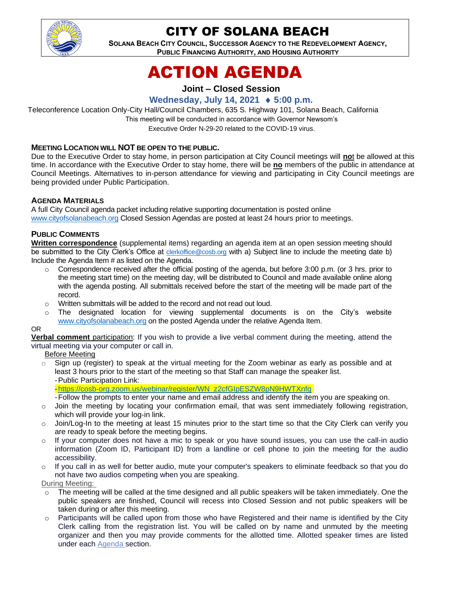

# CITY OF SOLANA BEACH

**SOLANA BEACH CITY COUNCIL, SUCCESSOR AGENCY TO THE REDEVELOPMENT AGENCY, PUBLIC FINANCING AUTHORITY, AND HOUSING AUTHORITY**

# ACTION AGENDA

## **Joint – Closed Session**

# **Wednesday, July 14, 2021 5:00 p.m.**

Teleconference Location Only-City Hall/Council Chambers, 635 S. Highway 101, Solana Beach, California This meeting will be conducted in accordance with Governor Newsom's Executive Order N-29-20 related to the COVID-19 virus.

#### **MEETING LOCATION WILL NOT BE OPEN TO THE PUBLIC.**

Due to the Executive Order to stay home, in person participation at City Council meetings will **no**t be allowed at this time. In accordance with the Executive Order to stay home, there will be **no** members of the public in attendance at Council Meetings. Alternatives to in-person attendance for viewing and participating in City Council meetings are being provided under Public Participation.

#### **AGENDA MATERIALS**

A full City Council agenda packet including relative supporting documentation is posted online [www.cityofsolanabeach.org](https://urldefense.proofpoint.com/v2/url?u=http-3A__www.cityofsolanabeach.org&d=DwQFAg&c=euGZstcaTDllvimEN8b7jXrwqOf-v5A_CdpgnVfiiMM&r=1XAsCUuqwK_tji2t0s1uIQ&m=wny2RVfZJ2tN24LkqZmkUWNpwL_peNtTZUBlTBZiMM4&s=6ATguqxJUOD7VVtloplAbyuyNaVcEh6Fl4q1iw55lCY&e=) Closed Session Agendas are posted at least 24 hours prior to meetings.

#### **PUBLIC COMMENTS**

**Written correspondence** (supplemental items) regarding an agenda item at an open session meeting should be submitted to the City Clerk's Office at [clerkoffice@cosb.org](mailto:clerkoffice@cosb.org) with a) Subject line to include the meeting date b) Include the Agenda Item # as listed on the Agenda.

- $\circ$  Correspondence received after the official posting of the agenda, but before 3:00 p.m. (or 3 hrs. prior to the meeting start time) on the meeting day, will be distributed to Council and made available online along with the agenda posting. All submittals received before the start of the meeting will be made part of the record.
- o Written submittals will be added to the record and not read out loud.
- o The designated location for viewing supplemental documents is on the City's website [www.cityofsolanabeach.org](http://www.cityofsolanabeach.org/) on the posted Agenda under the relative Agenda Item.

#### OR

**Verbal comment** participation: If you wish to provide a live verbal comment during the meeting, attend the virtual meeting via your computer or call in.

Before Meeting

 $\circ$  Sign up (register) to speak at the virtual meeting for the Zoom webinar as early as possible and at least 3 hours prior to the start of the meeting so that Staff can manage the speaker list. -Public Participation Link:

[-https://cosb-org.zoom.us/webinar/register/WN\\_z2cfGIpESZW8pN9HWTXnfg](https://cosb-org.zoom.us/webinar/register/WN_z2cfGIpESZW8pN9HWTXnfg)

-Follow the prompts to enter your name and email address and identify the item you are speaking on.

- $\circ$  Join the meeting by locating your confirmation email, that was sent immediately following registration, which will provide your log-in link.
- o Join/Log-In to the meeting at least 15 minutes prior to the start time so that the City Clerk can verify you are ready to speak before the meeting begins.
- $\circ$  If your computer does not have a mic to speak or you have sound issues, you can use the call-in audio information (Zoom ID, Participant ID) from a landline or cell phone to join the meeting for the audio accessibility.
- $\circ$  If you call in as well for better audio, mute your computer's speakers to eliminate feedback so that you do not have two audios competing when you are speaking.

During Meeting:

- $\circ$  The meeting will be called at the time designed and all public speakers will be taken immediately. One the public speakers are finished, Council will recess into Closed Session and not public speakers will be taken during or after this meeting.
- $\circ$  Participants will be called upon from those who have Registered and their name is identified by the City Clerk calling from the registration list. You will be called on by name and unmuted by the meeting organizer and then you may provide comments for the allotted time. Allotted speaker times are listed under each [Agenda s](https://urldefense.proofpoint.com/v2/url?u=https-3A__www.ci.solana-2Dbeach.ca.us_index.asp-3FSEC-3DF0F1200D-2D21C6-2D4A88-2D8AE1-2D0BC07C1A81A7-26Type-3DB-5FBASIC&d=DwMFaQ&c=euGZstcaTDllvimEN8b7jXrwqOf-v5A_CdpgnVfiiMM&r=1XAsCUuqwK_tji2t0s1uIQ&m=C7WzXfOw2_nkEFMJClT55zZsF4tmIf_7KTn0o1WpYqI&s=3DcsWExM2_nx_xpvFtXslUjphiXd0MDCCF18y_Qy5yU&e=)ection.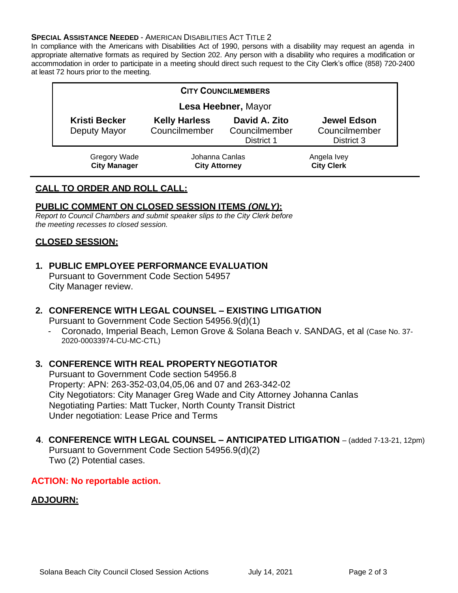#### **SPECIAL ASSISTANCE NEEDED - AMERICAN DISABILITIES ACT TITLE 2**

In compliance with the Americans with Disabilities Act of 1990, persons with a disability may request an agenda in appropriate alternative formats as required by Section 202. Any person with a disability who requires a modification or accommodation in order to participate in a meeting should direct such request to the City Clerk's office (858) 720-2400 at least 72 hours prior to the meeting.

| <b>CITY COUNCILMEMBERS</b>           |                                        |                                              |                                                   |
|--------------------------------------|----------------------------------------|----------------------------------------------|---------------------------------------------------|
| Lesa Heebner, Mayor                  |                                        |                                              |                                                   |
| <b>Kristi Becker</b><br>Deputy Mayor | <b>Kelly Harless</b><br>Councilmember  | David A. Zito<br>Councilmember<br>District 1 | <b>Jewel Edson</b><br>Councilmember<br>District 3 |
| Gregory Wade<br><b>City Manager</b>  | Johanna Canlas<br><b>City Attorney</b> |                                              | Angela Ivey<br><b>City Clerk</b>                  |

# **CALL TO ORDER AND ROLL CALL:**

#### **PUBLIC COMMENT ON CLOSED SESSION ITEMS** *(ONLY)***:**

*Report to Council Chambers and submit speaker slips to the City Clerk before the meeting recesses to closed session.*

## **CLOSED SESSION:**

# **1. PUBLIC EMPLOYEE PERFORMANCE EVALUATION**

Pursuant to Government Code Section 54957 City Manager review.

#### **2. CONFERENCE WITH LEGAL COUNSEL – EXISTING LITIGATION**

Pursuant to Government Code Section 54956.9(d)(1)

- Coronado, Imperial Beach, Lemon Grove & Solana Beach v. SANDAG, et al (Case No. 37- 2020-00033974-CU-MC-CTL)

## **3. CONFERENCE WITH REAL PROPERTY NEGOTIATOR**

Pursuant to Government Code section 54956.8 Property: APN: 263-352-03,04,05,06 and 07 and 263-342-02 City Negotiators: City Manager Greg Wade and City Attorney Johanna Canlas Negotiating Parties: Matt Tucker, North County Transit District Under negotiation: Lease Price and Terms

# **4**. **CONFERENCE WITH LEGAL COUNSEL – ANTICIPATED LITIGATION** – (added 7-13-21, 12pm)

Pursuant to Government Code Section 54956.9(d)(2) Two (2) Potential cases.

# **ACTION: No reportable action.**

# **ADJOURN:**